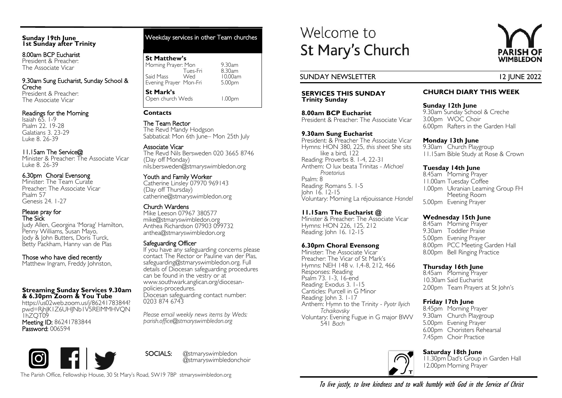## **Sunday 19th June 1st Sunday after Trinity**

8.00am BCP Eucharist President & Preacher: The Associate Vicar

9.30am Sung Eucharist, Sunday School & Creche President & Preacher: The Associate Vicar

# Readings for the Morning

Isaiah 65. 1-9 Psalm 22. 19-28 Galatians 3. 23-29 Luke 8. 26-39

# 11.15am The Service@

Minister & Preacher: The Associate Vicar Luke 8. 26-39

# 6.30pm Choral Evensong

Minister: The Team Curate Preacher: The Associate Vicar Psalm 57 Genesis 24. 1-27

#### Please pray for The Sick

Judy Allen, Georgina 'Morag' Hamilton, Penny Williams, Susan Mayo, Jody & John Butters, Doris Turck, Betty Packham, Hanny van de Plas

# Those who have died recently

Matthew Ingram, Freddy Johnston,

#### **Streaming Sunday Services 9.30am & 6.30pm Zoom & You Tube**

https://us02web.zoom.us/j/86241783844? pwd=RjhJK1Z6UHJNb1V5RElMMHVQN 1hZQT09 Meeting ID: 86241783844 Password: 006594

# Weekday services in other Team churches

# **St Matthew's** Morning Prayer: Mon 9.30am<br>Tues-Fri 8.30am Tues-Fri 8.30am Said Mass Wed 10.00am<br>Evening Prayer Mon-Fri 5.00pm Evening Prayer Mon-Fri **St Mark's**  Open church Weds 1.00pm

## **Contacts**

The Team Rector The Revd Mandy Hodgson Sabbatical: Mon 6th June– Mon 25th July

# Associate Vicar

The Revd Nils Bersweden 020 3665 8746 (Day off Monday) nils.bersweden@stmaryswimbledon.org

# Youth and Family Worker

Catherine Linsley 07970 969143 (Day off Thursday) catherine@stmaryswimbledon.org

# Church Wardens

Mike Leeson 07967 380577 mike@stmaryswimbledon.org Anthea Richardson 07903 099732 anthea@stmaryswimbledon.org

## Safeguarding Officer

If you have any safeguarding concerns please contact The Rector or Pauline van der Plas, safeguarding@stmaryswimbledon.org. Full details of Diocesan safeguarding procedures can be found in the vestry or at www.southwark.anglican.org/diocesanpolicies-procedures. Diocesan safeguarding contact number: 0203 874 6743

*Please email weekly news items by Weds: parish.office@stmaryswimbledon.org*

SOCIALS: @stmaryswimbledon

@stmaryswimbledonchoir

# Welcome to St Mary's Church

# SUNDAY NEWSLETTER 12 JUNE 2022

#### **SERVICES THIS SUNDAY Trinity Sunday**

**8.00am BCP Eucharist** President & Preacher: The Associate Vicar

## **9.30am Sung Eucharist**

President: & Preacher The Associate Vicar Hymns: HON 380, 225, *this sheet* She sits like a bird, 122 Reading: Proverbs 8. 1-4, 22-31 Anthem: O lux beata Trinitas - *Michael Praetorius* Psalm: 8 Reading: Romans 5. 1-5 John 16. 12-15 Voluntary: Morning La réjouissance *Handel*

# **11.15am The Eucharist @**

Minister & Preacher: The Associate Vicar Hymns: HON 226, 125, 212 Reading: John 16. 12-15

# **6.30pm Choral Evensong**

Minister: The Associate Vicar Preacher: The Vicar of St Mark's Hymns: NEH 148 v. 1,4-8, 212, 466 Responses: Reading Psalm 73. 1-3, 16-end Reading: Exodus 3. 1-15 Canticles: Purcell in G Minor Reading: John 3. I-17 Anthem: Hymn to the Trinity - *Pyotr Ilyich Tchaikovsky* Voluntary: Evening Fugue in G major BWV 541 *Bach*



# **CHURCH DIARY THIS WEEK**

**Sunday 12th June** 9.30am Sunday School & Creche 3.00pm WOC Choir 6.00pm Rafters in the Garden Hall

# **Monday 13th June**

9.30am Church Playgroup 11.15am Bible Study at Rose & Crown

# **Tuesday 14th June**

8.45am Morning Prayer 11.00am Tuesday Coffee 1.00pm Ukranian Learning Group FH Meeting Room 5.00pm Evening Prayer

# **Wednesday 15th June**

8.45am Morning Prayer 9.30am Toddler Praise 5.00pm Evening Prayer 8.00pm PCC Meeting Garden Hall 8.00pm Bell Ringing Practice

# **Thursday 16th June**

8.45am Morning Prayer 10.30am Said Eucharist 2.00pm Team Prayers at St John's

# **Friday 17th June**

8.45pm Morning Prayer 9.30am Church Playgroup 5.00pm Evening Prayer 6.00pm Choristers Rehearsal 7.45pm Choir Practice



# **Saturday 18th June**

11.30pm Dad's Group in Garden Hall 12.00pm Morning Prayer

The Parish Office, Fellowship House, 30 St Mary's Road, SW19 7BP stmaryswimbledon.org

To live justly, to love kindness and to walk humbly with God in the Service of Christ